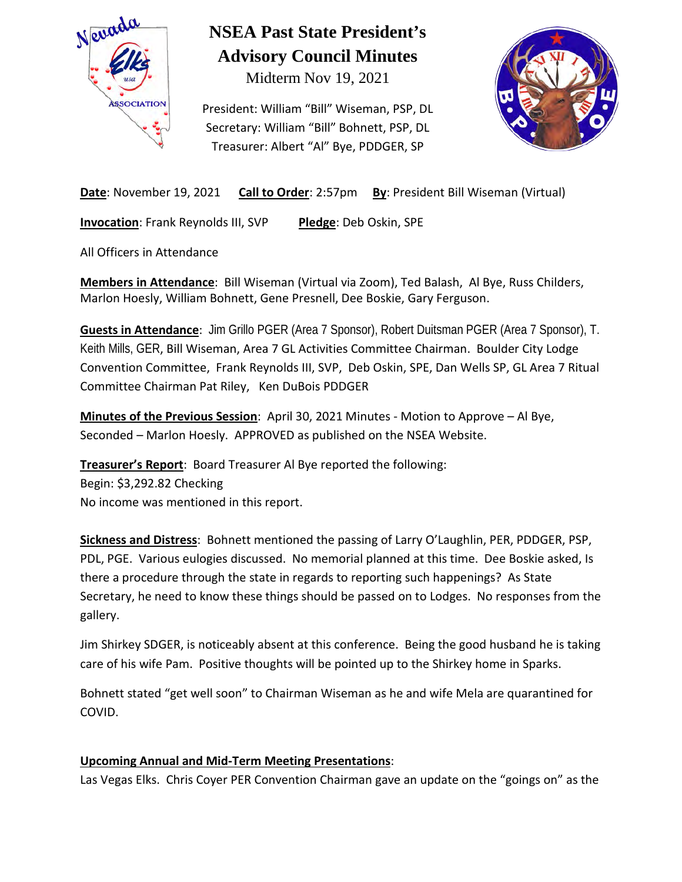

# **NSEA Past State President's Advisory Council Minutes**

Midterm Nov 19, 2021

President: William "Bill" Wiseman, PSP, DL Secretary: William "Bill" Bohnett, PSP, DL Treasurer: Albert "Al" Bye, PDDGER, SP



**Date**: November 19, 2021 **Call to Order**: 2:57pm **By**: President Bill Wiseman (Virtual)

**Invocation**: Frank Reynolds III, SVP **Pledge**: Deb Oskin, SPE

All Officers in Attendance

**Members in Attendance**: Bill Wiseman (Virtual via Zoom), Ted Balash, Al Bye, Russ Childers, Marlon Hoesly, William Bohnett, Gene Presnell, Dee Boskie, Gary Ferguson.

**Guests in Attendance**: Jim Grillo PGER (Area 7 Sponsor), Robert Duitsman PGER (Area 7 Sponsor), T. Keith Mills, GER, Bill Wiseman, Area 7 GL Activities Committee Chairman. Boulder City Lodge Convention Committee, Frank Reynolds III, SVP, Deb Oskin, SPE, Dan Wells SP, GL Area 7 Ritual Committee Chairman Pat Riley, Ken DuBois PDDGER

**Minutes of the Previous Session**: April 30, 2021 Minutes - Motion to Approve – Al Bye, Seconded – Marlon Hoesly. APPROVED as published on the NSEA Website.

**Treasurer's Report**: Board Treasurer Al Bye reported the following: Begin: \$3,292.82 Checking No income was mentioned in this report.

**Sickness and Distress**: Bohnett mentioned the passing of Larry O'Laughlin, PER, PDDGER, PSP, PDL, PGE. Various eulogies discussed. No memorial planned at this time. Dee Boskie asked, Is there a procedure through the state in regards to reporting such happenings? As State Secretary, he need to know these things should be passed on to Lodges. No responses from the gallery.

Jim Shirkey SDGER, is noticeably absent at this conference. Being the good husband he is taking care of his wife Pam. Positive thoughts will be pointed up to the Shirkey home in Sparks.

Bohnett stated "get well soon" to Chairman Wiseman as he and wife Mela are quarantined for COVID.

### **Upcoming Annual and Mid-Term Meeting Presentations**:

Las Vegas Elks. Chris Coyer PER Convention Chairman gave an update on the "goings on" as the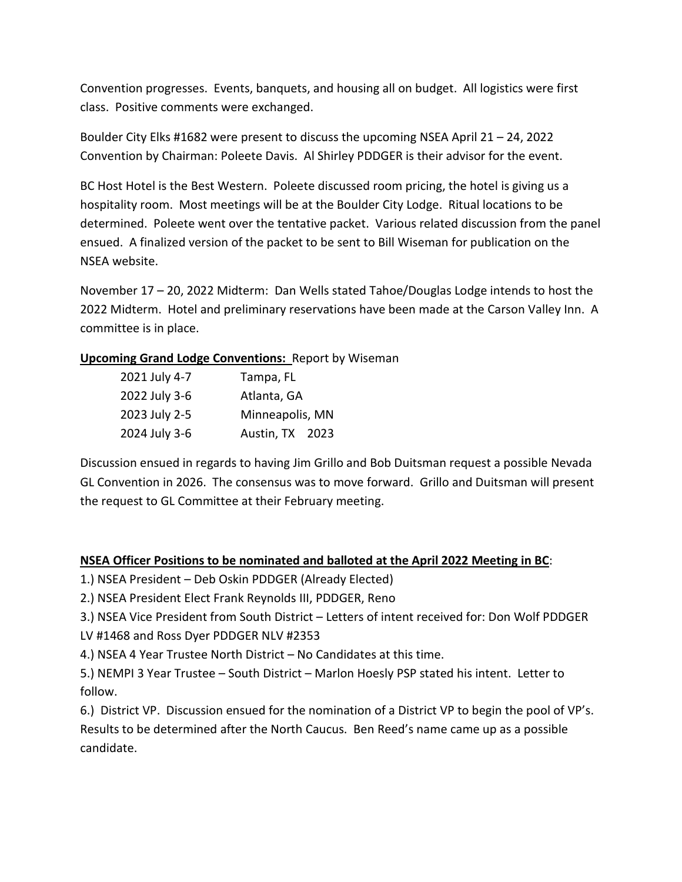Convention progresses. Events, banquets, and housing all on budget. All logistics were first class. Positive comments were exchanged.

Boulder City Elks #1682 were present to discuss the upcoming NSEA April 21 – 24, 2022 Convention by Chairman: Poleete Davis. Al Shirley PDDGER is their advisor for the event.

BC Host Hotel is the Best Western. Poleete discussed room pricing, the hotel is giving us a hospitality room. Most meetings will be at the Boulder City Lodge. Ritual locations to be determined. Poleete went over the tentative packet. Various related discussion from the panel ensued. A finalized version of the packet to be sent to Bill Wiseman for publication on the NSEA website.

November 17 – 20, 2022 Midterm: Dan Wells stated Tahoe/Douglas Lodge intends to host the 2022 Midterm. Hotel and preliminary reservations have been made at the Carson Valley Inn. A committee is in place.

#### **Upcoming Grand Lodge Conventions:** Report by Wiseman

| 2021 July 4-7 | Tampa, FL       |
|---------------|-----------------|
| 2022 July 3-6 | Atlanta, GA     |
| 2023 July 2-5 | Minneapolis, MN |
| 2024 July 3-6 | Austin, TX 2023 |

Discussion ensued in regards to having Jim Grillo and Bob Duitsman request a possible Nevada GL Convention in 2026. The consensus was to move forward. Grillo and Duitsman will present the request to GL Committee at their February meeting.

#### **NSEA Officer Positions to be nominated and balloted at the April 2022 Meeting in BC**:

- 1.) NSEA President Deb Oskin PDDGER (Already Elected)
- 2.) NSEA President Elect Frank Reynolds III, PDDGER, Reno
- 3.) NSEA Vice President from South District Letters of intent received for: Don Wolf PDDGER LV #1468 and Ross Dyer PDDGER NLV #2353
- 4.) NSEA 4 Year Trustee North District No Candidates at this time.
- 5.) NEMPI 3 Year Trustee South District Marlon Hoesly PSP stated his intent. Letter to follow.

6.) District VP. Discussion ensued for the nomination of a District VP to begin the pool of VP's. Results to be determined after the North Caucus. Ben Reed's name came up as a possible candidate.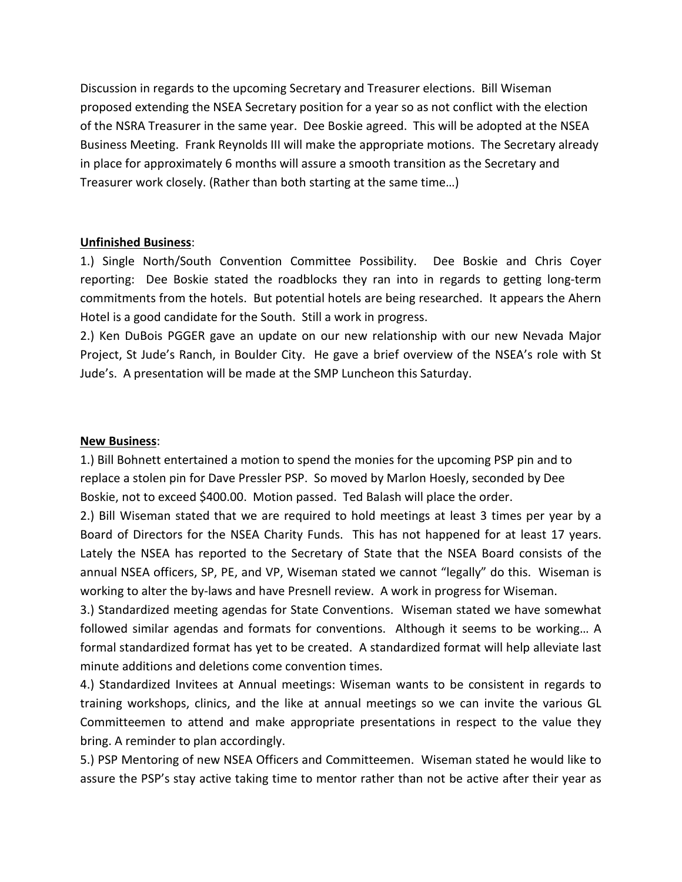Discussion in regards to the upcoming Secretary and Treasurer elections. Bill Wiseman proposed extending the NSEA Secretary position for a year so as not conflict with the election of the NSRA Treasurer in the same year. Dee Boskie agreed. This will be adopted at the NSEA Business Meeting. Frank Reynolds III will make the appropriate motions. The Secretary already in place for approximately 6 months will assure a smooth transition as the Secretary and Treasurer work closely. (Rather than both starting at the same time…)

#### **Unfinished Business**:

1.) Single North/South Convention Committee Possibility. Dee Boskie and Chris Coyer reporting: Dee Boskie stated the roadblocks they ran into in regards to getting long-term commitments from the hotels. But potential hotels are being researched. It appears the Ahern Hotel is a good candidate for the South. Still a work in progress.

2.) Ken DuBois PGGER gave an update on our new relationship with our new Nevada Major Project, St Jude's Ranch, in Boulder City. He gave a brief overview of the NSEA's role with St Jude's. A presentation will be made at the SMP Luncheon this Saturday.

#### **New Business**:

1.) Bill Bohnett entertained a motion to spend the monies for the upcoming PSP pin and to replace a stolen pin for Dave Pressler PSP. So moved by Marlon Hoesly, seconded by Dee Boskie, not to exceed \$400.00. Motion passed. Ted Balash will place the order.

2.) Bill Wiseman stated that we are required to hold meetings at least 3 times per year by a Board of Directors for the NSEA Charity Funds. This has not happened for at least 17 years. Lately the NSEA has reported to the Secretary of State that the NSEA Board consists of the annual NSEA officers, SP, PE, and VP, Wiseman stated we cannot "legally" do this. Wiseman is working to alter the by-laws and have Presnell review. A work in progress for Wiseman.

3.) Standardized meeting agendas for State Conventions. Wiseman stated we have somewhat followed similar agendas and formats for conventions. Although it seems to be working… A formal standardized format has yet to be created. A standardized format will help alleviate last minute additions and deletions come convention times.

4.) Standardized Invitees at Annual meetings: Wiseman wants to be consistent in regards to training workshops, clinics, and the like at annual meetings so we can invite the various GL Committeemen to attend and make appropriate presentations in respect to the value they bring. A reminder to plan accordingly.

5.) PSP Mentoring of new NSEA Officers and Committeemen. Wiseman stated he would like to assure the PSP's stay active taking time to mentor rather than not be active after their year as